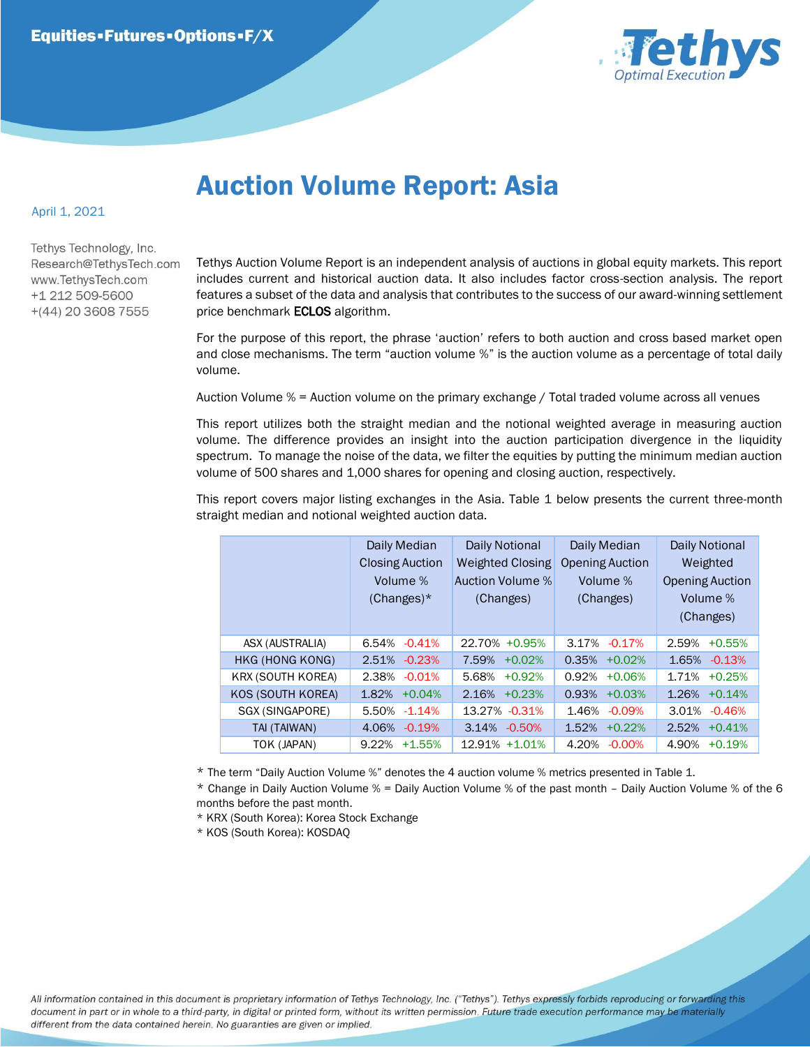

## Auction Volume Report: Asia

## April 1, 2021

Tethys Technology, Inc. Research@TethysTech.com www.TethvsTech.com +1 212 509-5600  $+(44)$  20 3608 7555

Tethys Auction Volume Report is an independent analysis of auctions in global equity markets. This report includes current and historical auction data. It also includes factor cross-section analysis. The report features a subset of the data and analysis that contributes to the success of our award-winning settlement price benchmark **ECLOS** algorithm.

For the purpose of this report, the phrase 'auction' refers to both auction and cross based market open and close mechanisms. The term "auction volume %" is the auction volume as a percentage of total daily volume.

Auction Volume % = Auction volume on the primary exchange / Total traded volume across all venues

This report utilizes both the straight median and the notional weighted average in measuring auction volume. The difference provides an insight into the auction participation divergence in the liquidity spectrum. To manage the noise of the data, we filter the equities by putting the minimum median auction volume of 500 shares and 1,000 shares for opening and closing auction, respectively.

This report covers major listing exchanges in the Asia. Table 1 below presents the current three-month straight median and notional weighted auction data.

|  |                          | Daily Median<br><b>Closing Auction</b><br>Volume %<br>$(Changes)^*$ | Daily Notional<br><b>Weighted Closing</b><br>Auction Volume %<br>(Changes) | Daily Median<br><b>Opening Auction</b><br>Volume %<br>(Changes) | Daily Notional<br>Weighted<br><b>Opening Auction</b><br>Volume %<br>(Changes) |
|--|--------------------------|---------------------------------------------------------------------|----------------------------------------------------------------------------|-----------------------------------------------------------------|-------------------------------------------------------------------------------|
|  | ASX (AUSTRALIA)          | $-0.41%$<br>6.54%                                                   | 22.70% +0.95%                                                              | 3.17%<br>$-0.17%$                                               | 2.59%<br>$+0.55%$                                                             |
|  | HKG (HONG KONG)          | $-0.23%$<br>2.51%                                                   | 7.59%<br>$+0.02%$                                                          | 0.35%<br>$+0.02%$                                               | 1.65%<br>$-0.13%$                                                             |
|  | <b>KRX (SOUTH KOREA)</b> | 2.38%<br>$-0.01%$                                                   | $+0.92%$<br>5.68%                                                          | 0.92%<br>$+0.06%$                                               | 1.71%<br>$+0.25%$                                                             |
|  | KOS (SOUTH KOREA)        | $+0.04%$<br>1.82%                                                   | 2.16%<br>$+0.23%$                                                          | 0.93%<br>$+0.03%$                                               | 1.26%<br>$+0.14%$                                                             |
|  | SGX (SINGAPORE)          | 5.50%<br>$-1.14%$                                                   | 13.27% -0.31%                                                              | 1.46%<br>$-0.09%$                                               | 3.01%<br>$-0.46%$                                                             |
|  | TAI (TAIWAN)             | 4.06%<br>$-0.19%$                                                   | 3.14%<br>$-0.50%$                                                          | 1.52%<br>$+0.22%$                                               | 2.52%<br>$+0.41%$                                                             |
|  | TOK (JAPAN)              | 9.22%<br>$+1.55%$                                                   | 12.91% +1.01%                                                              | 4.20%<br>$-0.00%$                                               | 4.90%<br>$+0.19%$                                                             |

\* The term "Daily Auction Volume %" denotes the 4 auction volume % metrics presented in Table 1.

\* Change in Daily Auction Volume % = Daily Auction Volume % of the past month – Daily Auction Volume % of the 6 months before the past month.

\* KRX (South Korea): Korea Stock Exchange

\* KOS (South Korea): KOSDAQ

All information contained in this document is proprietary information of Tethys Technology, Inc. ("Tethys"). Tethys expressly forbids reproducing or forwarding this document in part or in whole to a third-party, in digital or printed form, without its written permission. Future trade execution performance may be materially different from the data contained herein. No guaranties are given or implied.